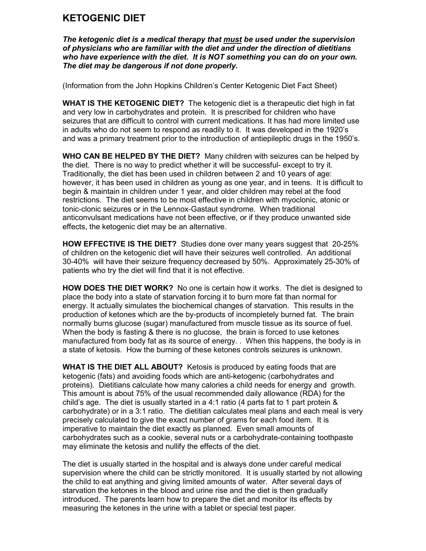## **KETOGENIC DIET**

*The ketogenic diet is a medical therapy that must be used under the supervision of physicians who are familiar with the diet and under the direction of dietitians who have experience with the diet. It is NOT something you can do on your own. The diet may be dangerous if not done properly.*

(Information from the John Hopkins Children's Center Ketogenic Diet Fact Sheet)

**WHAT IS THE KETOGENIC DIET?** The ketogenic diet is a therapeutic diet high in fat and very low in carbohydrates and protein. It is prescribed for children who have seizures that are difficult to control with current medications. It has had more limited use in adults who do not seem to respond as readily to it. It was developed in the 1920's and was a primary treatment prior to the introduction of antiepileptic drugs in the 1950's.

**WHO CAN BE HELPED BY THE DIET?** Many children with seizures can be helped by the diet. There is no way to predict whether it will be successful- except to try it. Traditionally, the diet has been used in children between 2 and 10 years of age: however, it has been used in children as young as one year, and in teens. It is difficult to begin & maintain in children under 1 year, and older children may rebel at the food restrictions. The diet seems to be most effective in children with myoclonic, atonic or tonic-clonic seizures or in the Lennox-Gastaut syndrome. When traditional anticonvulsant medications have not been effective, or if they produce unwanted side effects, the ketogenic diet may be an alternative.

**HOW EFFECTIVE IS THE DIET?** Studies done over many years suggest that 20-25% of children on the ketogenic diet will have their seizures well controlled. An additional 30-40% will have their seizure frequency decreased by 50%. Approximately 25-30% of patients who try the diet will find that it is not effective.

**HOW DOES THE DIET WORK?** No one is certain how it works. The diet is designed to place the body into a state of starvation forcing it to burn more fat than normal for energy. It actually simulates the biochemical changes of starvation. This results in the production of ketones which are the by-products of incompletely burned fat. The brain normally burns glucose (sugar) manufactured from muscle tissue as its source of fuel. When the body is fasting & there is no glucose, the brain is forced to use ketones manufactured from body fat as its source of energy. . When this happens, the body is in a state of ketosis. How the burning of these ketones controls seizures is unknown.

**WHAT IS THE DIET ALL ABOUT?** Ketosis is produced by eating foods that are ketogenic (fats) and avoiding foods which are anti-ketogenic (carbohydrates and proteins). Dietitians calculate how many calories a child needs for energy and growth. This amount is about 75% of the usual recommended daily allowance (RDA) for the child's age. The diet is usually started in a 4:1 ratio (4 parts fat to 1 part protein & carbohydrate) or in a 3:1 ratio. The dietitian calculates meal plans and each meal is very precisely calculated to give the exact number of grams for each food item. It is imperative to maintain the diet exactly as planned. Even small amounts of carbohydrates such as a cookie, several nuts or a carbohydrate-containing toothpaste may eliminate the ketosis and nullify the effects of the diet.

The diet is usually started in the hospital and is always done under careful medical supervision where the child can be strictly monitored. It is usually started by not allowing the child to eat anything and giving limited amounts of water. After several days of starvation the ketones in the blood and urine rise and the diet is then gradually introduced. The parents learn how to prepare the diet and monitor its effects by measuring the ketones in the urine with a tablet or special test paper.